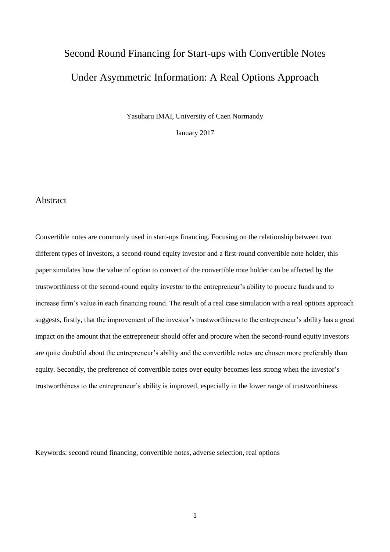# Second Round Financing for Start-ups with Convertible Notes Under Asymmetric Information: A Real Options Approach

Yasuharu IMAI, University of Caen Normandy

January 2017

## Abstract

Convertible notes are commonly used in start-ups financing. Focusing on the relationship between two different types of investors, a second-round equity investor and a first-round convertible note holder, this paper simulates how the value of option to convert of the convertible note holder can be affected by the trustworthiness of the second-round equity investor to the entrepreneur's ability to procure funds and to increase firm's value in each financing round. The result of a real case simulation with a real options approach suggests, firstly, that the improvement of the investor's trustworthiness to the entrepreneur's ability has a great impact on the amount that the entrepreneur should offer and procure when the second-round equity investors are quite doubtful about the entrepreneur's ability and the convertible notes are chosen more preferably than equity. Secondly, the preference of convertible notes over equity becomes less strong when the investor's trustworthiness to the entrepreneur's ability is improved, especially in the lower range of trustworthiness.

Keywords: second round financing, convertible notes, adverse selection, real options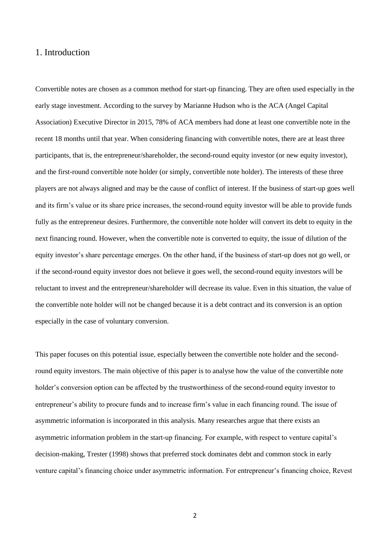# 1. Introduction

Convertible notes are chosen as a common method for start-up financing. They are often used especially in the early stage investment. According to the survey by Marianne Hudson who is the ACA (Angel Capital Association) Executive Director in 2015, 78% of ACA members had done at least one convertible note in the recent 18 months until that year. When considering financing with convertible notes, there are at least three participants, that is, the entrepreneur/shareholder, the second-round equity investor (or new equity investor), and the first-round convertible note holder (or simply, convertible note holder). The interests of these three players are not always aligned and may be the cause of conflict of interest. If the business of start-up goes well and its firm's value or its share price increases, the second-round equity investor will be able to provide funds fully as the entrepreneur desires. Furthermore, the convertible note holder will convert its debt to equity in the next financing round. However, when the convertible note is converted to equity, the issue of dilution of the equity investor's share percentage emerges. On the other hand, if the business of start-up does not go well, or if the second-round equity investor does not believe it goes well, the second-round equity investors will be reluctant to invest and the entrepreneur/shareholder will decrease its value. Even in this situation, the value of the convertible note holder will not be changed because it is a debt contract and its conversion is an option especially in the case of voluntary conversion.

This paper focuses on this potential issue, especially between the convertible note holder and the secondround equity investors. The main objective of this paper is to analyse how the value of the convertible note holder's conversion option can be affected by the trustworthiness of the second-round equity investor to entrepreneur's ability to procure funds and to increase firm's value in each financing round. The issue of asymmetric information is incorporated in this analysis. Many researches argue that there exists an asymmetric information problem in the start-up financing. For example, with respect to venture capital's decision-making, Trester (1998) shows that preferred stock dominates debt and common stock in early venture capital's financing choice under asymmetric information. For entrepreneur's financing choice, Revest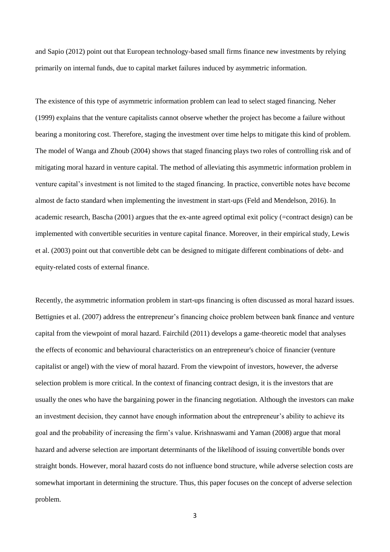and Sapio (2012) point out that European technology-based small firms finance new investments by relying primarily on internal funds, due to capital market failures induced by asymmetric information.

The existence of this type of asymmetric information problem can lead to select staged financing. Neher (1999) explains that the venture capitalists cannot observe whether the project has become a failure without bearing a monitoring cost. Therefore, staging the investment over time helps to mitigate this kind of problem. The model of Wanga and Zhoub (2004) shows that staged financing plays two roles of controlling risk and of mitigating moral hazard in venture capital. The method of alleviating this asymmetric information problem in venture capital's investment is not limited to the staged financing. In practice, convertible notes have become almost de facto standard when implementing the investment in start-ups (Feld and Mendelson, 2016). In academic research, Bascha (2001) argues that the ex-ante agreed optimal exit policy (=contract design) can be implemented with convertible securities in venture capital finance. Moreover, in their empirical study, Lewis et al. (2003) point out that convertible debt can be designed to mitigate different combinations of debt- and equity-related costs of external finance.

Recently, the asymmetric information problem in start-ups financing is often discussed as moral hazard issues. Bettignies et al. (2007) address the entrepreneur's financing choice problem between bank finance and venture capital from the viewpoint of moral hazard. Fairchild (2011) develops a game-theoretic model that analyses the effects of economic and behavioural characteristics on an entrepreneur's choice of financier (venture capitalist or angel) with the view of moral hazard. From the viewpoint of investors, however, the adverse selection problem is more critical. In the context of financing contract design, it is the investors that are usually the ones who have the bargaining power in the financing negotiation. Although the investors can make an investment decision, they cannot have enough information about the entrepreneur's ability to achieve its goal and the probability of increasing the firm's value. Krishnaswami and Yaman (2008) argue that moral hazard and adverse selection are important determinants of the likelihood of issuing convertible bonds over straight bonds. However, moral hazard costs do not influence bond structure, while adverse selection costs are somewhat important in determining the structure. Thus, this paper focuses on the concept of adverse selection problem.

3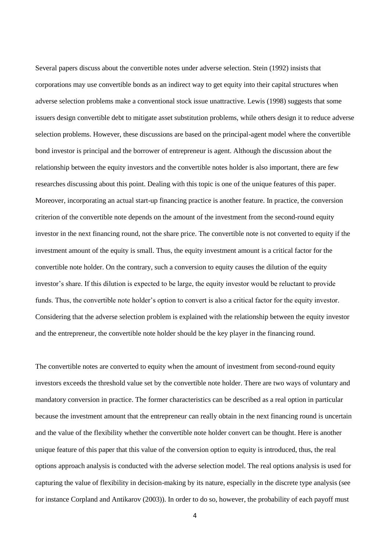Several papers discuss about the convertible notes under adverse selection. Stein (1992) insists that corporations may use convertible bonds as an indirect way to get equity into their capital structures when adverse selection problems make a conventional stock issue unattractive. Lewis (1998) suggests that some issuers design convertible debt to mitigate asset substitution problems, while others design it to reduce adverse selection problems. However, these discussions are based on the principal-agent model where the convertible bond investor is principal and the borrower of entrepreneur is agent. Although the discussion about the relationship between the equity investors and the convertible notes holder is also important, there are few researches discussing about this point. Dealing with this topic is one of the unique features of this paper. Moreover, incorporating an actual start-up financing practice is another feature. In practice, the conversion criterion of the convertible note depends on the amount of the investment from the second-round equity investor in the next financing round, not the share price. The convertible note is not converted to equity if the investment amount of the equity is small. Thus, the equity investment amount is a critical factor for the convertible note holder. On the contrary, such a conversion to equity causes the dilution of the equity investor's share. If this dilution is expected to be large, the equity investor would be reluctant to provide funds. Thus, the convertible note holder's option to convert is also a critical factor for the equity investor. Considering that the adverse selection problem is explained with the relationship between the equity investor and the entrepreneur, the convertible note holder should be the key player in the financing round.

The convertible notes are converted to equity when the amount of investment from second-round equity investors exceeds the threshold value set by the convertible note holder. There are two ways of voluntary and mandatory conversion in practice. The former characteristics can be described as a real option in particular because the investment amount that the entrepreneur can really obtain in the next financing round is uncertain and the value of the flexibility whether the convertible note holder convert can be thought. Here is another unique feature of this paper that this value of the conversion option to equity is introduced, thus, the real options approach analysis is conducted with the adverse selection model. The real options analysis is used for capturing the value of flexibility in decision-making by its nature, especially in the discrete type analysis (see for instance Corpland and Antikarov (2003)). In order to do so, however, the probability of each payoff must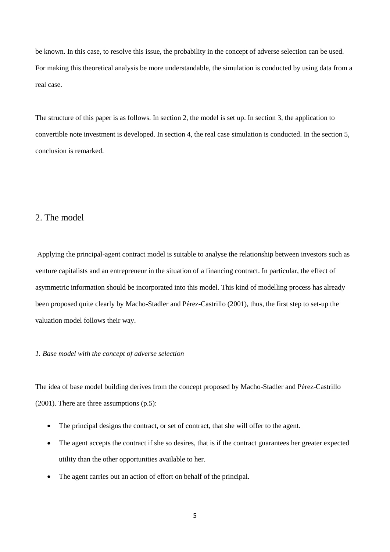be known. In this case, to resolve this issue, the probability in the concept of adverse selection can be used. For making this theoretical analysis be more understandable, the simulation is conducted by using data from a real case.

The structure of this paper is as follows. In section 2, the model is set up. In section 3, the application to convertible note investment is developed. In section 4, the real case simulation is conducted. In the section 5, conclusion is remarked.

# 2. The model

Applying the principal-agent contract model is suitable to analyse the relationship between investors such as venture capitalists and an entrepreneur in the situation of a financing contract. In particular, the effect of asymmetric information should be incorporated into this model. This kind of modelling process has already been proposed quite clearly by Macho-Stadler and Pérez-Castrillo (2001), thus, the first step to set-up the valuation model follows their way.

### *1. Base model with the concept of adverse selection*

The idea of base model building derives from the concept proposed by Macho-Stadler and Pérez-Castrillo (2001). There are three assumptions (p.5):

- The principal designs the contract, or set of contract, that she will offer to the agent.
- The agent accepts the contract if she so desires, that is if the contract guarantees her greater expected utility than the other opportunities available to her.
- The agent carries out an action of effort on behalf of the principal.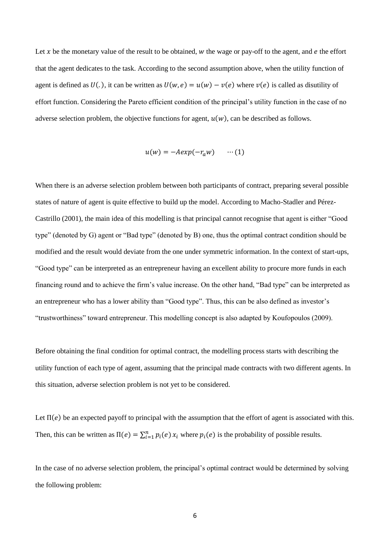Let x be the monetary value of the result to be obtained,  $w$  the wage or pay-off to the agent, and  $e$  the effort that the agent dedicates to the task. According to the second assumption above, when the utility function of agent is defined as  $U(.)$ , it can be written as  $U(w, e) = u(w) - v(e)$  where  $v(e)$  is called as disutility of effort function. Considering the Pareto efficient condition of the principal's utility function in the case of no adverse selection problem, the objective functions for agent,  $u(w)$ , can be described as follows.

$$
u(w) = -Aexp(-r_a w) \qquad \cdots (1)
$$

When there is an adverse selection problem between both participants of contract, preparing several possible states of nature of agent is quite effective to build up the model. According to Macho-Stadler and Pérez-Castrillo (2001), the main idea of this modelling is that principal cannot recognise that agent is either "Good type" (denoted by G) agent or "Bad type" (denoted by B) one, thus the optimal contract condition should be modified and the result would deviate from the one under symmetric information. In the context of start-ups, "Good type" can be interpreted as an entrepreneur having an excellent ability to procure more funds in each financing round and to achieve the firm's value increase. On the other hand, "Bad type" can be interpreted as an entrepreneur who has a lower ability than "Good type". Thus, this can be also defined as investor's "trustworthiness" toward entrepreneur. This modelling concept is also adapted by Koufopoulos (2009).

Before obtaining the final condition for optimal contract, the modelling process starts with describing the utility function of each type of agent, assuming that the principal made contracts with two different agents. In this situation, adverse selection problem is not yet to be considered.

Let  $\Pi(e)$  be an expected payoff to principal with the assumption that the effort of agent is associated with this. Then, this can be written as  $\Pi(e) = \sum_{i=1}^{n} p_i(e) x_i$  where  $p_i(e)$  is the probability of possible results.

In the case of no adverse selection problem, the principal's optimal contract would be determined by solving the following problem: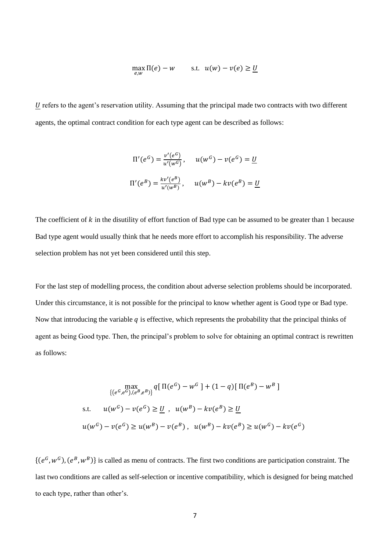$$
\max_{e,w} \Pi(e) - w \qquad \text{s.t.} \ \ u(w) - v(e) \ge \underline{U}
$$

U refers to the agent's reservation utility. Assuming that the principal made two contracts with two different agents, the optimal contract condition for each type agent can be described as follows:

$$
\Pi'(e^G) = \frac{v'(e^G)}{u'(w^G)}, \qquad u(w^G) - v(e^G) = \underline{U}
$$
  

$$
\Pi'(e^B) = \frac{kv'(e^B)}{u'(w^B)}, \qquad u(w^B) - kv(e^B) = \underline{U}
$$

The coefficient of  $k$  in the disutility of effort function of Bad type can be assumed to be greater than 1 because Bad type agent would usually think that he needs more effort to accomplish his responsibility. The adverse selection problem has not yet been considered until this step.

For the last step of modelling process, the condition about adverse selection problems should be incorporated. Under this circumstance, it is not possible for the principal to know whether agent is Good type or Bad type. Now that introducing the variable  $q$  is effective, which represents the probability that the principal thinks of agent as being Good type. Then, the principal's problem to solve for obtaining an optimal contract is rewritten as follows:

$$
\max_{\{(e^G, e^G), (e^B, e^B)\}} q [\Pi(e^G) - w^G] + (1 - q) [\Pi(e^B) - w^B]
$$
  
s.t.  $u(w^G) - v(e^G) \ge \underline{U}$ ,  $u(w^B) - kv(e^B) \ge \underline{U}$   
 $u(w^G) - v(e^G) \ge u(w^B) - v(e^B)$ ,  $u(w^B) - kv(e^B) \ge u(w^G) - kv(e^G)$ 

 $\{(e^G, w^G), (e^B, w^B)\}\$ is called as menu of contracts. The first two conditions are participation constraint. The last two conditions are called as self-selection or incentive compatibility, which is designed for being matched to each type, rather than other's.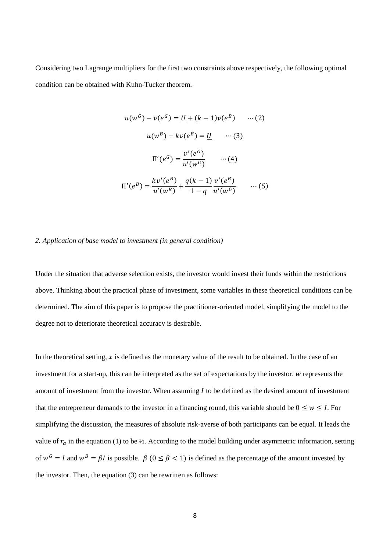Considering two Lagrange multipliers for the first two constraints above respectively, the following optimal condition can be obtained with Kuhn-Tucker theorem.

$$
u(w^{G}) - v(e^{G}) = \underline{U} + (k - 1)v(e^{B}) \quad \cdots (2)
$$

$$
u(w^{B}) - kv(e^{B}) = \underline{U} \quad \cdots (3)
$$

$$
\Pi'(e^{G}) = \frac{v'(e^{G})}{u'(w^{G})} \quad \cdots (4)
$$

$$
\Pi'(e^{B}) = \frac{kv'(e^{B})}{u'(w^{B})} + \frac{q(k - 1)}{1 - q} \frac{v'(e^{B})}{u'(w^{G})} \quad \cdots (5)
$$

#### *2. Application of base model to investment (in general condition)*

Under the situation that adverse selection exists, the investor would invest their funds within the restrictions above. Thinking about the practical phase of investment, some variables in these theoretical conditions can be determined. The aim of this paper is to propose the practitioner-oriented model, simplifying the model to the degree not to deteriorate theoretical accuracy is desirable.

In the theoretical setting,  $x$  is defined as the monetary value of the result to be obtained. In the case of an investment for a start-up, this can be interpreted as the set of expectations by the investor. *w* represents the amount of investment from the investor. When assuming  $I$  to be defined as the desired amount of investment that the entrepreneur demands to the investor in a financing round, this variable should be  $0 \leq w \leq I$ . For simplifying the discussion, the measures of absolute risk-averse of both participants can be equal. It leads the value of  $r_a$  in the equation (1) to be ½. According to the model building under asymmetric information, setting of  $w^G = I$  and  $w^B = \beta I$  is possible.  $\beta$  ( $0 \le \beta < 1$ ) is defined as the percentage of the amount invested by the investor. Then, the equation (3) can be rewritten as follows: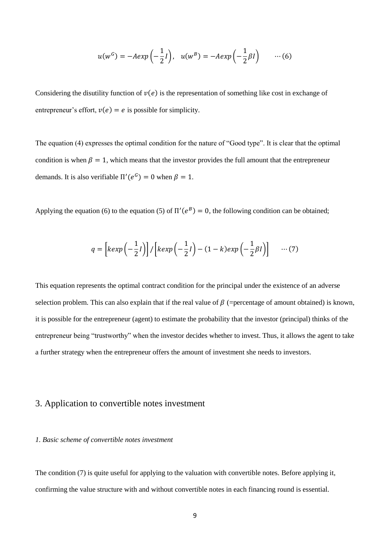$$
u(w^G) = -Aexp\left(-\frac{1}{2}I\right), \quad u(w^B) = -Aexp\left(-\frac{1}{2}\beta I\right) \qquad \cdots (6)
$$

Considering the disutility function of  $v(e)$  is the representation of something like cost in exchange of entrepreneur's effort,  $v(e) = e$  is possible for simplicity.

The equation (4) expresses the optimal condition for the nature of "Good type". It is clear that the optimal condition is when  $\beta = 1$ , which means that the investor provides the full amount that the entrepreneur demands. It is also verifiable  $\Pi'(e^G) = 0$  when  $\beta = 1$ .

Applying the equation (6) to the equation (5) of  $\Pi'(e^B) = 0$ , the following condition can be obtained;

$$
q = \left[ \ker p\left(-\frac{1}{2}l\right) \right] / \left[ \ker p\left(-\frac{1}{2}l\right) - (1 - k) \exp\left(-\frac{1}{2}\beta l\right) \right] \quad \cdots (7)
$$

This equation represents the optimal contract condition for the principal under the existence of an adverse selection problem. This can also explain that if the real value of  $\beta$  (=percentage of amount obtained) is known, it is possible for the entrepreneur (agent) to estimate the probability that the investor (principal) thinks of the entrepreneur being "trustworthy" when the investor decides whether to invest. Thus, it allows the agent to take a further strategy when the entrepreneur offers the amount of investment she needs to investors.

## 3. Application to convertible notes investment

### *1. Basic scheme of convertible notes investment*

The condition (7) is quite useful for applying to the valuation with convertible notes. Before applying it, confirming the value structure with and without convertible notes in each financing round is essential.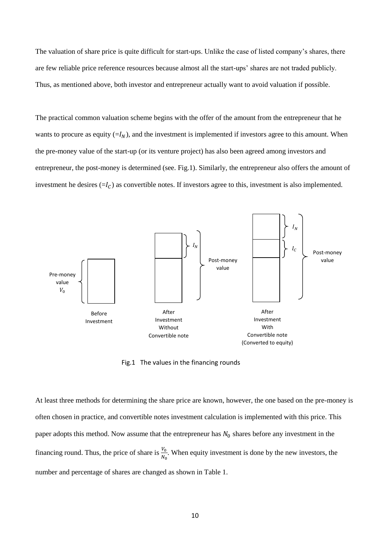The valuation of share price is quite difficult for start-ups. Unlike the case of listed company's shares, there are few reliable price reference resources because almost all the start-ups' shares are not traded publicly. Thus, as mentioned above, both investor and entrepreneur actually want to avoid valuation if possible.

The practical common valuation scheme begins with the offer of the amount from the entrepreneur that he wants to procure as equity  $(=I_N)$ , and the investment is implemented if investors agree to this amount. When the pre-money value of the start-up (or its venture project) has also been agreed among investors and entrepreneur, the post-money is determined (see. Fig.1). Similarly, the entrepreneur also offers the amount of investment he desires  $(=I_C)$  as convertible notes. If investors agree to this, investment is also implemented.



Fig.1 The values in the financing rounds

At least three methods for determining the share price are known, however, the one based on the pre-money is often chosen in practice, and convertible notes investment calculation is implemented with this price. This paper adopts this method. Now assume that the entrepreneur has  $N_0$  shares before any investment in the financing round. Thus, the price of share is  $\frac{V_0}{N_0}$ . When equity investment is done by the new investors, the number and percentage of shares are changed as shown in Table 1.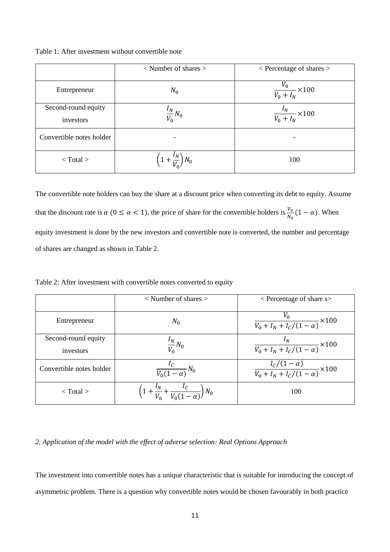Table 1: After investment without convertible note

|                                  | $\langle$ Number of shares $>$           | $\leq$ Percentage of shares $>$            |
|----------------------------------|------------------------------------------|--------------------------------------------|
| Entrepreneur                     | $N_0$                                    | $\frac{\overline{V}_0}{V_0+I_N}\times 100$ |
| Second-round equity<br>investors | $\frac{I_N}{V_0}N_0$                     | $\frac{I_N}{V_0 + I_N}$ × 100              |
| Convertible notes holder         |                                          |                                            |
| $<$ Total $>$                    | $\left(1+\frac{IV}{V_0}\right)$<br>$N_0$ | 100                                        |

The convertible note holders can buy the share at a discount price when converting its debt to equity. Assume that the discount rate is  $\alpha$  (0 ≤  $\alpha$  < 1), the price of share for the convertible holders is  $\frac{V_0}{N_0}(1-\alpha)$ . When equity investment is done by the new investors and convertible note is converted, the number and percentage of shares are changed as shown in Table 2.

| Table 2: After investment with convertible notes converted to equity |  |
|----------------------------------------------------------------------|--|
|----------------------------------------------------------------------|--|

|                                  | $\langle$ Number of shares $>$                                | $\leq$ Percentage of share s $>$                          |
|----------------------------------|---------------------------------------------------------------|-----------------------------------------------------------|
| Entrepreneur                     | $N_0$                                                         | $\frac{V_0}{V_0 + I_N + I_C/(1-\alpha)} \times 100$       |
| Second-round equity<br>investors | $\frac{I_N}{V_0}N_0$                                          | $\frac{I_N}{V_0 + I_N + I_C/(1-\alpha)} \times 100$       |
| Convertible notes holder         | $\frac{I_C}{V_0(1-\alpha)}N_0$                                | $\frac{I_c/(1-\alpha)}{V_0+I_N+I_c/(1-\alpha)}\times 100$ |
| $\langle$ Total $\rangle$        | $\left(1+\frac{l_N}{V_0}+\frac{l_C}{V_0(1-\alpha)}\right)N_0$ | 100                                                       |

## *2. Application of the model with the effect of adverse selection: Real Options Approach*

The investment into convertible notes has a unique characteristic that is suitable for introducing the concept of asymmetric problem. There is a question why convertible notes would be chosen favourably in both practice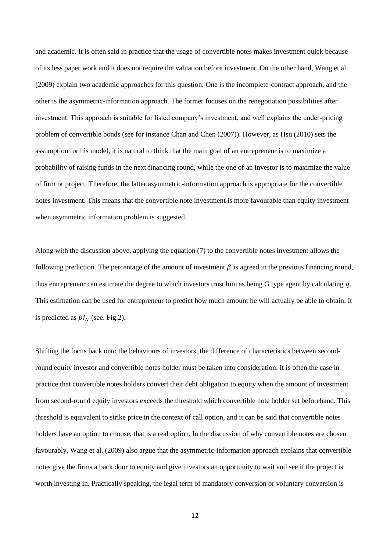and academic. It is often said in practice that the usage of convertible notes makes investment quick because of its less paper work and it does not require the valuation before investment. On the other hand, Wang et al. (2009) explain two academic approaches for this question. One is the incomplete-contract approach, and the other is the asymmetric-information approach. The former focuses on the renegotiation possibilities after investment. This approach is suitable for listed company's investment, and well explains the under-pricing problem of convertible bonds (see for instance Chan and Chen (2007)). However, as Hsu (2010) sets the assumption for his model, it is natural to think that the main goal of an entrepreneur is to maximize a probability of raising funds in the next financing round, while the one of an investor is to maximize the value of firm or project. Therefore, the latter asymmetric-information approach is appropriate for the convertible notes investment. This means that the convertible note investment is more favourable than equity investment when asymmetric information problem is suggested.

Along with the discussion above, applying the equation (7) to the convertible notes investment allows the following prediction. The percentage of the amount of investment  $\beta$  is agreed in the previous financing round, thus entrepreneur can estimate the degree to which investors trust him as being G type agent by calculating  $q$ . This estimation can be used for entrepreneur to predict how much amount he will actually be able to obtain. It is predicted as  $\beta I_N$  (see. Fig.2).

Shifting the focus back onto the behaviours of investors, the difference of characteristics between secondround equity investor and convertible notes holder must be taken into consideration. It is often the case in practice that convertible notes holders convert their debt obligation to equity when the amount of investment from second-round equity investors exceeds the threshold which convertible note holder set beforehand. This threshold is equivalent to strike price in the context of call option, and it can be said that convertible notes holders have an option to choose, that is a real option. In the discussion of why convertible notes are chosen favourably, Wang et al. (2009) also argue that the asymmetric-information approach explains that convertible notes give the firms a back door to equity and give investors an opportunity to wait and see if the project is worth investing in. Practically speaking, the legal term of mandatory conversion or voluntary conversion is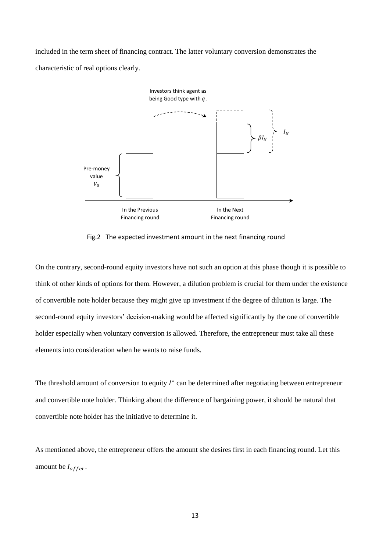included in the term sheet of financing contract. The latter voluntary conversion demonstrates the characteristic of real options clearly.



Fig.2 The expected investment amount in the next financing round

On the contrary, second-round equity investors have not such an option at this phase though it is possible to think of other kinds of options for them. However, a dilution problem is crucial for them under the existence of convertible note holder because they might give up investment if the degree of dilution is large. The second-round equity investors' decision-making would be affected significantly by the one of convertible holder especially when voluntary conversion is allowed. Therefore, the entrepreneur must take all these elements into consideration when he wants to raise funds.

The threshold amount of conversion to equity  $I^*$  can be determined after negotiating between entrepreneur and convertible note holder. Thinking about the difference of bargaining power, it should be natural that convertible note holder has the initiative to determine it.

As mentioned above, the entrepreneur offers the amount she desires first in each financing round. Let this amount be  $I_{offer}$ .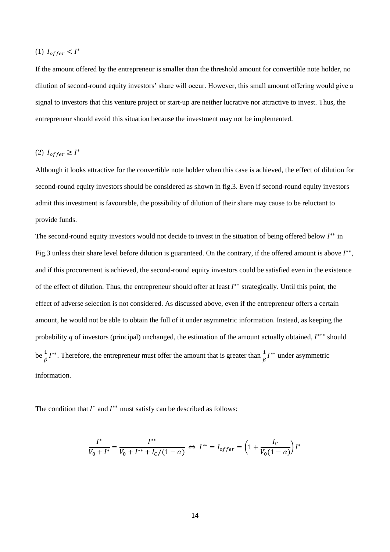# (1)  $I_{offer} < I^*$

If the amount offered by the entrepreneur is smaller than the threshold amount for convertible note holder, no dilution of second-round equity investors' share will occur. However, this small amount offering would give a signal to investors that this venture project or start-up are neither lucrative nor attractive to invest. Thus, the entrepreneur should avoid this situation because the investment may not be implemented.

# (2)  $I_{offer} \geq I^*$

Although it looks attractive for the convertible note holder when this case is achieved, the effect of dilution for second-round equity investors should be considered as shown in fig.3. Even if second-round equity investors admit this investment is favourable, the possibility of dilution of their share may cause to be reluctant to provide funds.

The second-round equity investors would not decide to invest in the situation of being offered below  $I^{**}$  in Fig.3 unless their share level before dilution is guaranteed. On the contrary, if the offered amount is above  $I^{**}$ , and if this procurement is achieved, the second-round equity investors could be satisfied even in the existence of the effect of dilution. Thus, the entrepreneur should offer at least  $I^{**}$  strategically. Until this point, the effect of adverse selection is not considered. As discussed above, even if the entrepreneur offers a certain amount, he would not be able to obtain the full of it under asymmetric information. Instead, as keeping the probability  $q$  of investors (principal) unchanged, the estimation of the amount actually obtained,  $I^{***}$  should be  $\frac{1}{\beta}I^{**}$ . Therefore, the entrepreneur must offer the amount that is greater than  $\frac{1}{\beta}I^{**}$  under asymmetric information.

The condition that  $I^*$  and  $I^{**}$  must satisfy can be described as follows:

$$
\frac{I^*}{V_0 + I^*} = \frac{I^{**}}{V_0 + I^{**} + I_c/(1 - \alpha)} \Leftrightarrow I^{**} = I_{offer} = \left(1 + \frac{I_c}{V_0(1 - \alpha)}\right)I^*
$$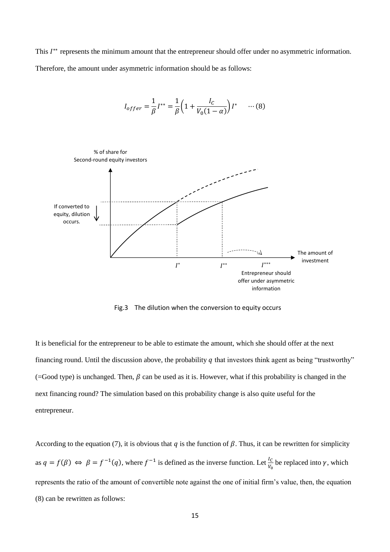This  $I^{**}$  represents the minimum amount that the entrepreneur should offer under no asymmetric information. Therefore, the amount under asymmetric information should be as follows:

$$
I_{offer} = \frac{1}{\beta} I^{**} = \frac{1}{\beta} \left( 1 + \frac{I_c}{V_0 (1 - \alpha)} \right) I^* \quad \cdots (8)
$$



Fig.3 The dilution when the conversion to equity occurs

It is beneficial for the entrepreneur to be able to estimate the amount, which she should offer at the next financing round. Until the discussion above, the probability  $q$  that investors think agent as being "trustworthy"  $($ =Good type) is unchanged. Then,  $\beta$  can be used as it is. However, what if this probability is changed in the next financing round? The simulation based on this probability change is also quite useful for the entrepreneur.

According to the equation (7), it is obvious that q is the function of  $\beta$ . Thus, it can be rewritten for simplicity as  $q = f(\beta) \Leftrightarrow \beta = f^{-1}(q)$ , where  $f^{-1}$  is defined as the inverse function. Let  $\frac{l_c}{v_0}$  be replaced into  $\gamma$ , which represents the ratio of the amount of convertible note against the one of initial firm's value, then, the equation (8) can be rewritten as follows: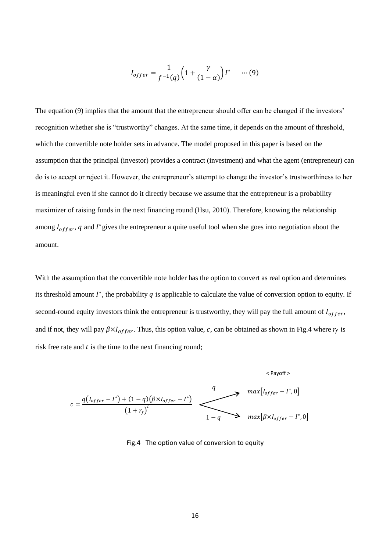$$
I_{offer} = \frac{1}{f^{-1}(q)} \left( 1 + \frac{\gamma}{(1-\alpha)} \right) I^* \quad \cdots (9)
$$

The equation (9) implies that the amount that the entrepreneur should offer can be changed if the investors' recognition whether she is "trustworthy" changes. At the same time, it depends on the amount of threshold, which the convertible note holder sets in advance. The model proposed in this paper is based on the assumption that the principal (investor) provides a contract (investment) and what the agent (entrepreneur) can do is to accept or reject it. However, the entrepreneur's attempt to change the investor's trustworthiness to her is meaningful even if she cannot do it directly because we assume that the entrepreneur is a probability maximizer of raising funds in the next financing round (Hsu, 2010). Therefore, knowing the relationship among  $I_{offer}$ , q and  $I$ <sup>\*</sup> gives the entrepreneur a quite useful tool when she goes into negotiation about the amount.

With the assumption that the convertible note holder has the option to convert as real option and determines its threshold amount  $I^*$ , the probability  $q$  is applicable to calculate the value of conversion option to equity. If second-round equity investors think the entrepreneur is trustworthy, they will pay the full amount of  $I_{offer}$ , and if not, they will pay  $\beta \times I_{offer}$ . Thus, this option value, c, can be obtained as shown in Fig.4 where  $r_f$  is risk free rate and  $t$  is the time to the next financing round;

$$
c = \frac{q(I_{offer} - I^*) + (1 - q)(\beta \times I_{offer} - I^*)}{(1 + r_f)^t} \longrightarrow \frac{q}{1 - q} \longrightarrow max[I_{offer} - I^*, 0]
$$

Fig.4 The option value of conversion to equity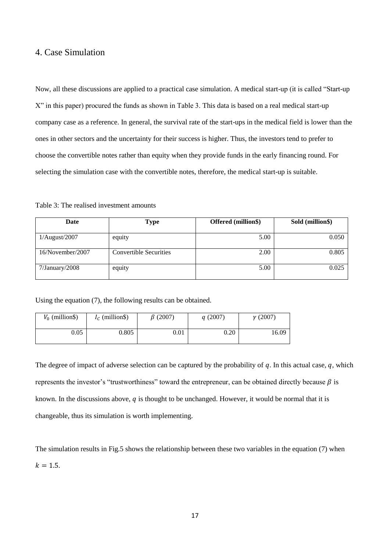# 4. Case Simulation

Now, all these discussions are applied to a practical case simulation. A medical start-up (it is called "Start-up X" in this paper) procured the funds as shown in Table 3. This data is based on a real medical start-up company case as a reference. In general, the survival rate of the start-ups in the medical field is lower than the ones in other sectors and the uncertainty for their success is higher. Thus, the investors tend to prefer to choose the convertible notes rather than equity when they provide funds in the early financing round. For selecting the simulation case with the convertible notes, therefore, the medical start-up is suitable.

## Table 3: The realised investment amounts

| Date             | <b>Type</b>                   | Offered (million\$) | Sold (million\$) |
|------------------|-------------------------------|---------------------|------------------|
| 1/August/2007    | equity                        | 5.00                | 0.050            |
| 16/November/2007 | <b>Convertible Securities</b> | 2.00                | 0.805            |
| 7/January/2008   | equity                        | 5.00                | 0.025            |

Using the equation (7), the following results can be obtained.

| $V_0$ (million\$) | $I_c$ (million\$) | $\beta$ (2007) | q(2007) | $\gamma$ (2007) |
|-------------------|-------------------|----------------|---------|-----------------|
| 0.05              | 0.805             | 0.01           | 0.20    | 16.09           |

The degree of impact of adverse selection can be captured by the probability of  $q$ . In this actual case,  $q$ , which represents the investor's "trustworthiness" toward the entrepreneur, can be obtained directly because  $\beta$  is known. In the discussions above,  $q$  is thought to be unchanged. However, it would be normal that it is changeable, thus its simulation is worth implementing.

The simulation results in Fig.5 shows the relationship between these two variables in the equation (7) when  $k = 1.5.$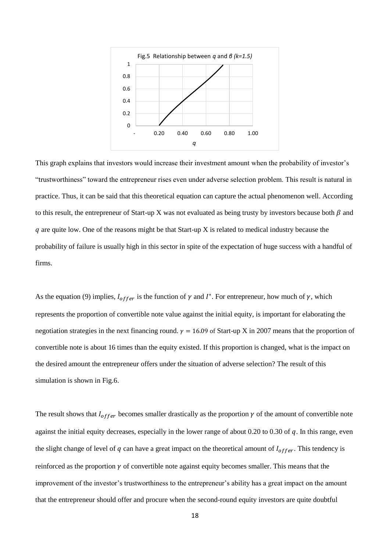

This graph explains that investors would increase their investment amount when the probability of investor's "trustworthiness" toward the entrepreneur rises even under adverse selection problem. This result is natural in practice. Thus, it can be said that this theoretical equation can capture the actual phenomenon well. According to this result, the entrepreneur of Start-up X was not evaluated as being trusty by investors because both  $\beta$  and  $q$  are quite low. One of the reasons might be that Start-up X is related to medical industry because the probability of failure is usually high in this sector in spite of the expectation of huge success with a handful of firms.

As the equation (9) implies,  $I_{offer}$  is the function of  $\gamma$  and  $I^*$ . For entrepreneur, how much of  $\gamma$ , which represents the proportion of convertible note value against the initial equity, is important for elaborating the negotiation strategies in the next financing round.  $y = 16.09$  of Start-up X in 2007 means that the proportion of convertible note is about 16 times than the equity existed. If this proportion is changed, what is the impact on the desired amount the entrepreneur offers under the situation of adverse selection? The result of this simulation is shown in Fig.6.

The result shows that  $I_{offer}$  becomes smaller drastically as the proportion  $\gamma$  of the amount of convertible note against the initial equity decreases, especially in the lower range of about 0.20 to 0.30 of  $q$ . In this range, even the slight change of level of  $q$  can have a great impact on the theoretical amount of  $I_{offer}$ . This tendency is reinforced as the proportion  $\gamma$  of convertible note against equity becomes smaller. This means that the improvement of the investor's trustworthiness to the entrepreneur's ability has a great impact on the amount that the entrepreneur should offer and procure when the second-round equity investors are quite doubtful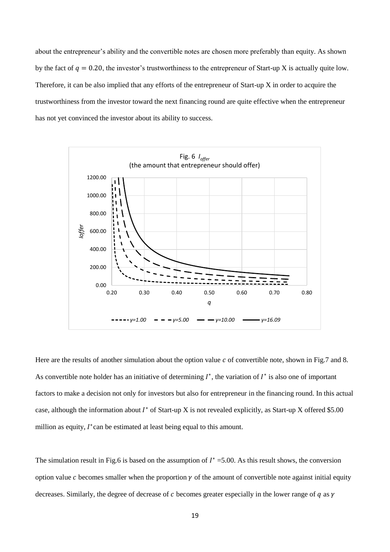about the entrepreneur's ability and the convertible notes are chosen more preferably than equity. As shown by the fact of  $q = 0.20$ , the investor's trustworthiness to the entrepreneur of Start-up X is actually quite low. Therefore, it can be also implied that any efforts of the entrepreneur of Start-up X in order to acquire the trustworthiness from the investor toward the next financing round are quite effective when the entrepreneur has not yet convinced the investor about its ability to success.



Here are the results of another simulation about the option value  $c$  of convertible note, shown in Fig.7 and 8. As convertible note holder has an initiative of determining  $I^*$ , the variation of  $I^*$  is also one of important factors to make a decision not only for investors but also for entrepreneur in the financing round. In this actual case, although the information about  $I^*$  of Start-up X is not revealed explicitly, as Start-up X offered \$5.00 million as equity,  $I^*$  can be estimated at least being equal to this amount.

The simulation result in Fig.6 is based on the assumption of  $I^* = 5.00$ . As this result shows, the conversion option value c becomes smaller when the proportion  $\gamma$  of the amount of convertible note against initial equity decreases. Similarly, the degree of decrease of c becomes greater especially in the lower range of  $q$  as  $\gamma$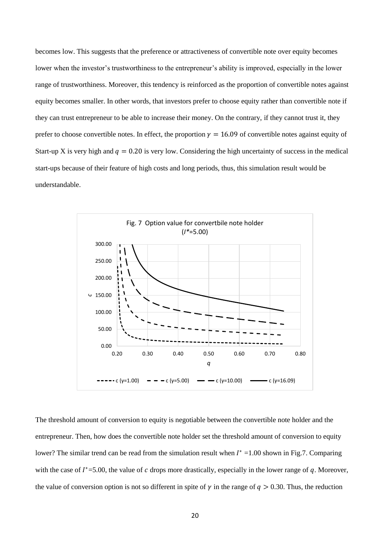becomes low. This suggests that the preference or attractiveness of convertible note over equity becomes lower when the investor's trustworthiness to the entrepreneur's ability is improved, especially in the lower range of trustworthiness. Moreover, this tendency is reinforced as the proportion of convertible notes against equity becomes smaller. In other words, that investors prefer to choose equity rather than convertible note if they can trust entrepreneur to be able to increase their money. On the contrary, if they cannot trust it, they prefer to choose convertible notes. In effect, the proportion  $\gamma = 16.09$  of convertible notes against equity of Start-up X is very high and  $q = 0.20$  is very low. Considering the high uncertainty of success in the medical start-ups because of their feature of high costs and long periods, thus, this simulation result would be understandable.



The threshold amount of conversion to equity is negotiable between the convertible note holder and the entrepreneur. Then, how does the convertible note holder set the threshold amount of conversion to equity lower? The similar trend can be read from the simulation result when  $I^* = 1.00$  shown in Fig.7. Comparing with the case of  $I^*=5.00$ , the value of c drops more drastically, especially in the lower range of q. Moreover, the value of conversion option is not so different in spite of  $\gamma$  in the range of  $q > 0.30$ . Thus, the reduction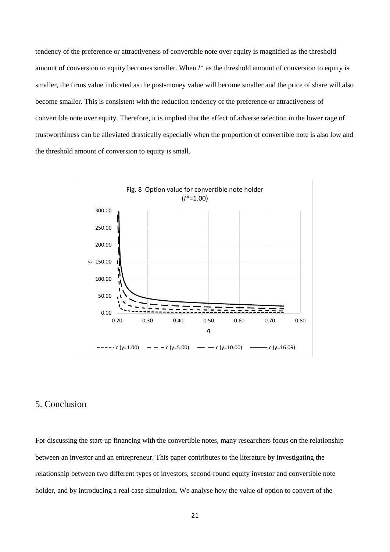tendency of the preference or attractiveness of convertible note over equity is magnified as the threshold amount of conversion to equity becomes smaller. When  $I^*$  as the threshold amount of conversion to equity is smaller, the firms value indicated as the post-money value will become smaller and the price of share will also become smaller. This is consistent with the reduction tendency of the preference or attractiveness of convertible note over equity. Therefore, it is implied that the effect of adverse selection in the lower rage of trustworthiness can be alleviated drastically especially when the proportion of convertible note is also low and the threshold amount of conversion to equity is small.



# 5. Conclusion

For discussing the start-up financing with the convertible notes, many researchers focus on the relationship between an investor and an entrepreneur. This paper contributes to the literature by investigating the relationship between two different types of investors, second-round equity investor and convertible note holder, and by introducing a real case simulation. We analyse how the value of option to convert of the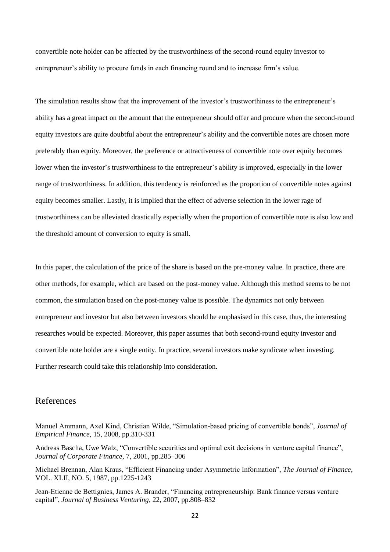convertible note holder can be affected by the trustworthiness of the second-round equity investor to entrepreneur's ability to procure funds in each financing round and to increase firm's value.

The simulation results show that the improvement of the investor's trustworthiness to the entrepreneur's ability has a great impact on the amount that the entrepreneur should offer and procure when the second-round equity investors are quite doubtful about the entrepreneur's ability and the convertible notes are chosen more preferably than equity. Moreover, the preference or attractiveness of convertible note over equity becomes lower when the investor's trustworthiness to the entrepreneur's ability is improved, especially in the lower range of trustworthiness. In addition, this tendency is reinforced as the proportion of convertible notes against equity becomes smaller. Lastly, it is implied that the effect of adverse selection in the lower rage of trustworthiness can be alleviated drastically especially when the proportion of convertible note is also low and the threshold amount of conversion to equity is small.

In this paper, the calculation of the price of the share is based on the pre-money value. In practice, there are other methods, for example, which are based on the post-money value. Although this method seems to be not common, the simulation based on the post-money value is possible. The dynamics not only between entrepreneur and investor but also between investors should be emphasised in this case, thus, the interesting researches would be expected. Moreover, this paper assumes that both second-round equity investor and convertible note holder are a single entity. In practice, several investors make syndicate when investing. Further research could take this relationship into consideration.

# References

Manuel Ammann, Axel Kind, Christian Wilde, "Simulation-based pricing of convertible bonds", *Journal of Empirical Finance*, 15, 2008, pp.310-331

Andreas Bascha, Uwe Walz, "Convertible securities and optimal exit decisions in venture capital finance", *Journal of Corporate Finance*, 7, 2001, pp.285–306

Michael Brennan, Alan Kraus, "Efficient Financing under Asymmetric Information", *The Journal of Finance*, VOL. XLII, NO. 5, 1987, pp.1225-1243

Jean-Etienne de Bettignies, James A. Brander, "Financing entrepreneurship: Bank finance versus venture capital", *Journal of Business Venturing*, 22, 2007, pp.808–832